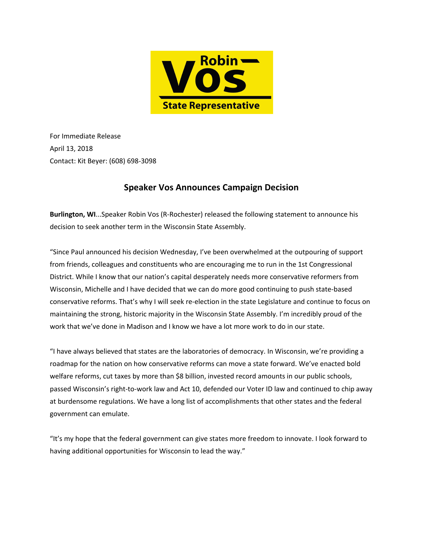

For Immediate Release April 13, 2018 Contact: Kit Beyer: (608) 698-3098

## **Speaker Vos Announces Campaign Decision**

**Burlington, WI**...Speaker Robin Vos (R-Rochester) released the following statement to announce his decision to seek another term in the Wisconsin State Assembly.

"Since Paul announced his decision Wednesday, I've been overwhelmed at the outpouring of support from friends, colleagues and constituents who are encouraging me to run in the 1st Congressional District. While I know that our nation's capital desperately needs more conservative reformers from Wisconsin, Michelle and I have decided that we can do more good continuing to push state-based conservative reforms. That's why I will seek re-election in the state Legislature and continue to focus on maintaining the strong, historic majority in the Wisconsin State Assembly. I'm incredibly proud of the work that we've done in Madison and I know we have a lot more work to do in our state.

"I have always believed that states are the laboratories of democracy. In Wisconsin, we're providing a roadmap for the nation on how conservative reforms can move a state forward. We've enacted bold welfare reforms, cut taxes by more than \$8 billion, invested record amounts in our public schools, passed Wisconsin's right-to-work law and Act 10, defended our Voter ID law and continued to chip away at burdensome regulations. We have a long list of accomplishments that other states and the federal government can emulate.

"It's my hope that the federal government can give states more freedom to innovate. I look forward to having additional opportunities for Wisconsin to lead the way."